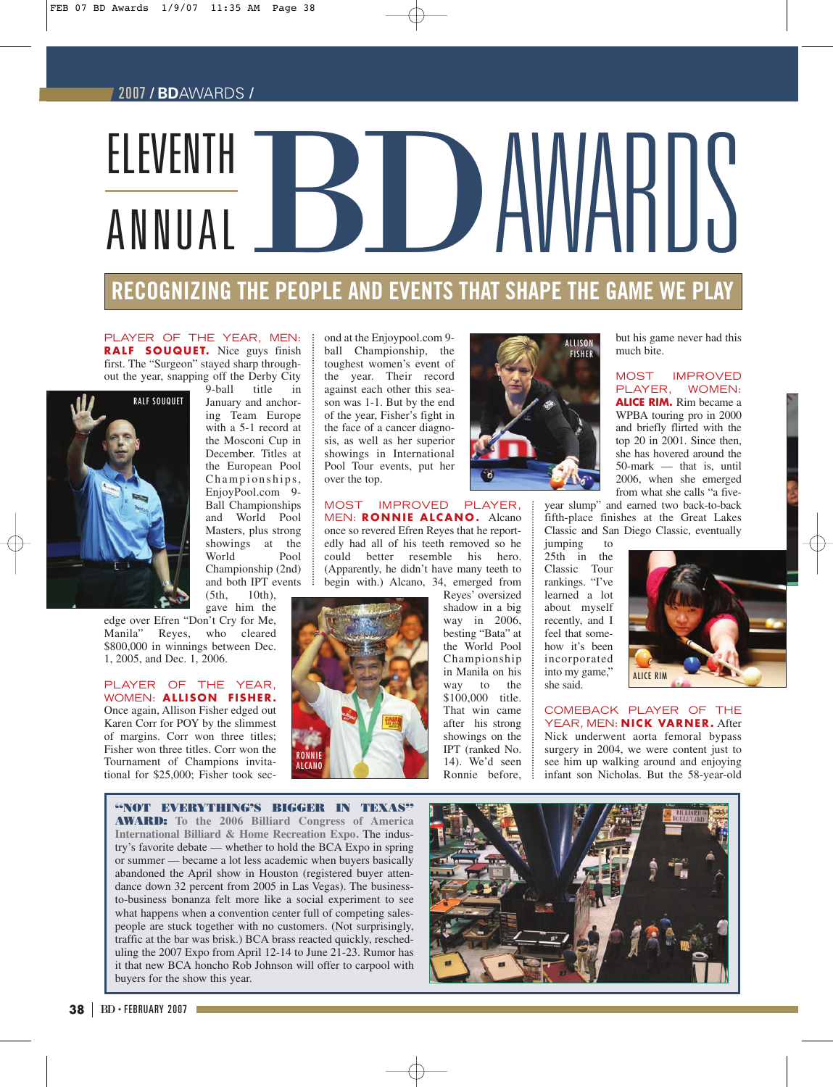# 2007 / **BD**AWARDS /

# BD AWARIIS ELEVENTH ANNUAL

# **RECOGNIZING THE PEOPLE AND EVENTS THAT SHAPE THE GAME WE PLAY**

PLAYER OF THE YEAR, MEN: **RALF SOUQUET.** Nice guys finish first. The "Surgeon" stayed sharp throughout the year, snapping off the Derby City



9-ball title in January and anchoring Team Europe with a 5-1 record at the Mosconi Cup in December. Titles at the European Pool Championships, EnjoyPool.com 9- Ball Championships and World Pool Masters, plus strong showings at the World Championship (2nd) and both IPT events  $(5th, 10th)$ , 10th),

gave him the

edge over Efren "Don't Cry for Me, Manila" Reyes, who cleared \$800,000 in winnings between Dec. 1, 2005, and Dec. 1, 2006.

#### PLAYER OF THE YEAR, WOMEN: **ALLISON FISHER.** Once again, Allison Fisher edged out Karen Corr for POY by the slimmest

of margins. Corr won three titles; Fisher won three titles. Corr won the Tournament of Champions invitational for \$25,000; Fisher took second at the Enjoypool.com 9 ball Championship, the toughest women's event of the year. Their record against each other this season was 1-1. But by the end of the year, Fisher's fight in the face of a cancer diagnosis, as well as her superior showings in International Pool Tour events, put her over the top.

# MOST IMPROVED PLAYER,

MEN: **RONNIE ALCANO.** Alcano once so revered Efren Reyes that he reportedly had all of his teeth removed so he could better resemble his hero. (Apparently, he didn't have many teeth to begin with.) Alcano, 34, emerged from





Reyes' oversized shadow in a big way in 2006, besting "Bata" at the World Pool Championship in Manila on his way to the \$100,000 title. That win came after his strong showings on the IPT (ranked No. 14). We'd seen Ronnie before,

but his game never had this much bite.

MOST IMPROVED PLAYER, WOMEN: **ALICE RIM.** Rim became a WPBA touring pro in 2000 and briefly flirted with the top 20 in 2001. Since then, she has hovered around the 50-mark — that is, until 2006, when she emerged from what she calls "a five-

year slump" and earned two back-to-back fifth-place finishes at the Great Lakes Classic and San Diego Classic, eventually

jumping to 25th in the Classic Tour rankings. "I've learned a lot about myself recently, and I feel that somehow it's been incorporated into my game," she said.



COMEBACK PLAYER OF THE YEAR, MEN: **NICK VARNER.** After Nick underwent aorta femoral bypass surgery in 2004, we were content just to see him up walking around and enjoying infant son Nicholas. But the 58-year-old

**"NOT EVERYTHING'S BIGGER IN TEXAS" AWARD: To the 2006 Billiard Congress of America International Billiard & Home Recreation Expo.** The industry's favorite debate — whether to hold the BCA Expo in spring or summer — became a lot less academic when buyers basically abandoned the April show in Houston (registered buyer attendance down 32 percent from 2005 in Las Vegas). The businessto-business bonanza felt more like a social experiment to see what happens when a convention center full of competing salespeople are stuck together with no customers. (Not surprisingly, traffic at the bar was brisk.) BCA brass reacted quickly, rescheduling the 2007 Expo from April 12-14 to June 21-23. Rumor has it that new BCA honcho Rob Johnson will offer to carpool with buyers for the show this year.

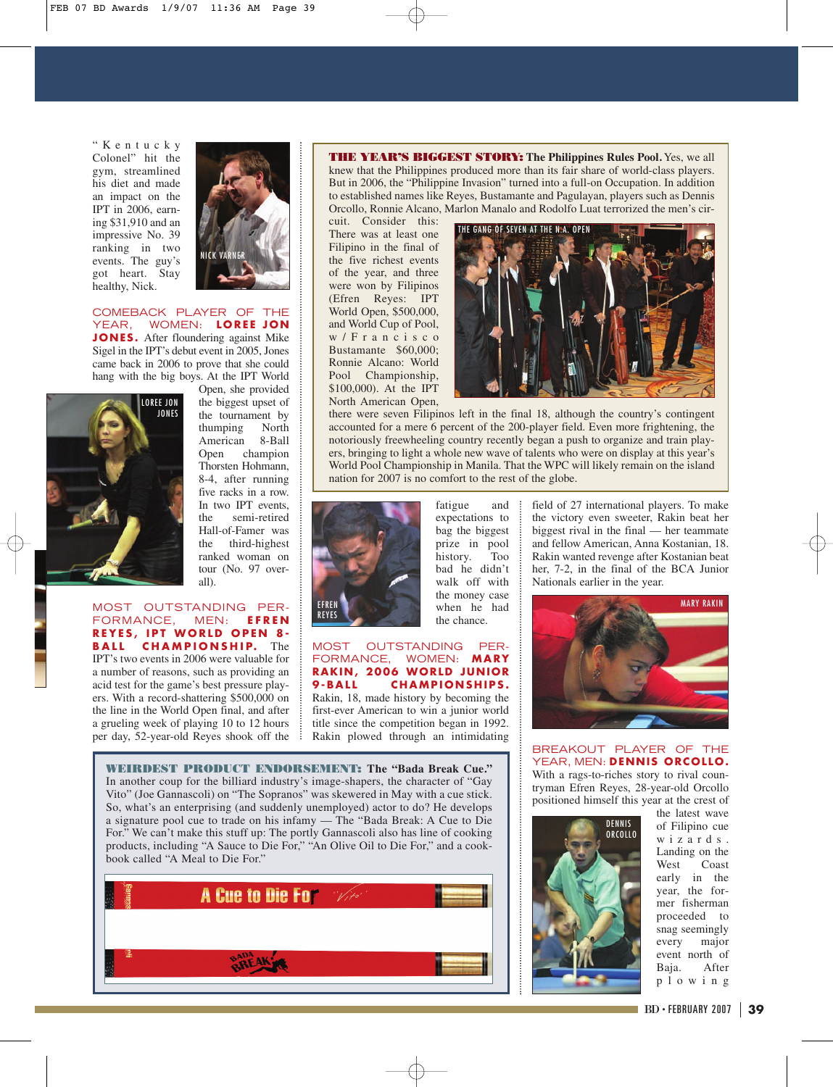"Kentucky Colonel" hit the gym, streamlined his diet and made an impact on the IPT in 2006, earning \$31,910 and an impressive No. 39 ranking in two events. The guy's got heart. Stay healthy, Nick.



COMEBACK PLAYER OF THE YEAR, WOMEN: **LOREE JON JONES.** After floundering against Mike Sigel in the IPT's debut event in 2005, Jones came back in 2006 to prove that she could hang with the big boys. At the IPT World



Open, she provided the biggest upset of the tournament by<br>thumping North thumping American 8-Ball Open champion Thorsten Hohmann, 8-4, after running five racks in a row. In two IPT events, the semi-retired Hall-of-Famer was the third-highest ranked woman on tour (No. 97 overall).

#### MOST OUTSTANDING PER-FORMANCE, MEN: **EFREN REYES, IPT WORLD OPEN 8- BALL CHAMPIONSHIP.** The

IPT's two events in 2006 were valuable for a number of reasons, such as providing an acid test for the game's best pressure players. With a record-shattering \$500,000 on the line in the World Open final, and after a grueling week of playing 10 to 12 hours per day, 52-year-old Reyes shook off the **THE YEAR'S BIGGEST STORY: The Philippines Rules Pool.** Yes, we all knew that the Philippines produced more than its fair share of world-class players. But in 2006, the "Philippine Invasion" turned into a full-on Occupation. In addition to established names like Reyes, Bustamante and Pagulayan, players such as Dennis Orcollo, Ronnie Alcano, Marlon Manalo and Rodolfo Luat terrorized the men's cir-

cuit. Consider this: There was at least one Filipino in the final of the five richest events of the year, and three were won by Filipinos (Efren Reyes: IPT World Open, \$500,000, and World Cup of Pool, w/Francisco Bustamante \$60,000; Ronnie Alcano: World Pool Championship, \$100,000). At the IPT North American Open,



there were seven Filipinos left in the final 18, although the country's contingent accounted for a mere 6 percent of the 200-player field. Even more frightening, the notoriously freewheeling country recently began a push to organize and train players, bringing to light a whole new wave of talents who were on display at this year's World Pool Championship in Manila. That the WPC will likely remain on the island nation for 2007 is no comfort to the rest of the globe.



expectations to bag the biggest prize in pool history. Too bad he didn't walk off with the money case when he had the chance.

fatigue and

#### MOST OUTSTANDING PER-FORMANCE, WOMEN: **MARY RAKIN, 2006 WORLD JUNIOR 9-BALL CHAMPIONSHIPS.**

Rakin, 18, made history by becoming the first-ever American to win a junior world title since the competition began in 1992. Rakin plowed through an intimidating

**WEIRDEST PRODUCT ENDORSEMENT: The "Bada Break Cue."** In another coup for the billiard industry's image-shapers, the character of "Gay Vito" (Joe Gannascoli) on "The Sopranos" was skewered in May with a cue stick. So, what's an enterprising (and suddenly unemployed) actor to do? He develops a signature pool cue to trade on his infamy — The "Bada Break: A Cue to Die For." We can't make this stuff up: The portly Gannascoli also has line of cooking products, including "A Sauce to Die For," "An Olive Oil to Die For," and a cookbook called "A Meal to Die For."



field of 27 international players. To make the victory even sweeter, Rakin beat her biggest rival in the final — her teammate and fellow American, Anna Kostanian, 18. Rakin wanted revenge after Kostanian beat her, 7-2, in the final of the BCA Junior Nationals earlier in the year.



BREAKOUT PLAYER OF THE YEAR, MEN: **DENNIS ORCOLLO.** With a rags-to-riches story to rival countryman Efren Reyes, 28-year-old Orcollo positioned himself this year at the crest of



the latest wave of Filipino cue wizards. Landing on the West Coast early in the year, the former fisherman proceeded to snag seemingly every major event north of Baja. After plowing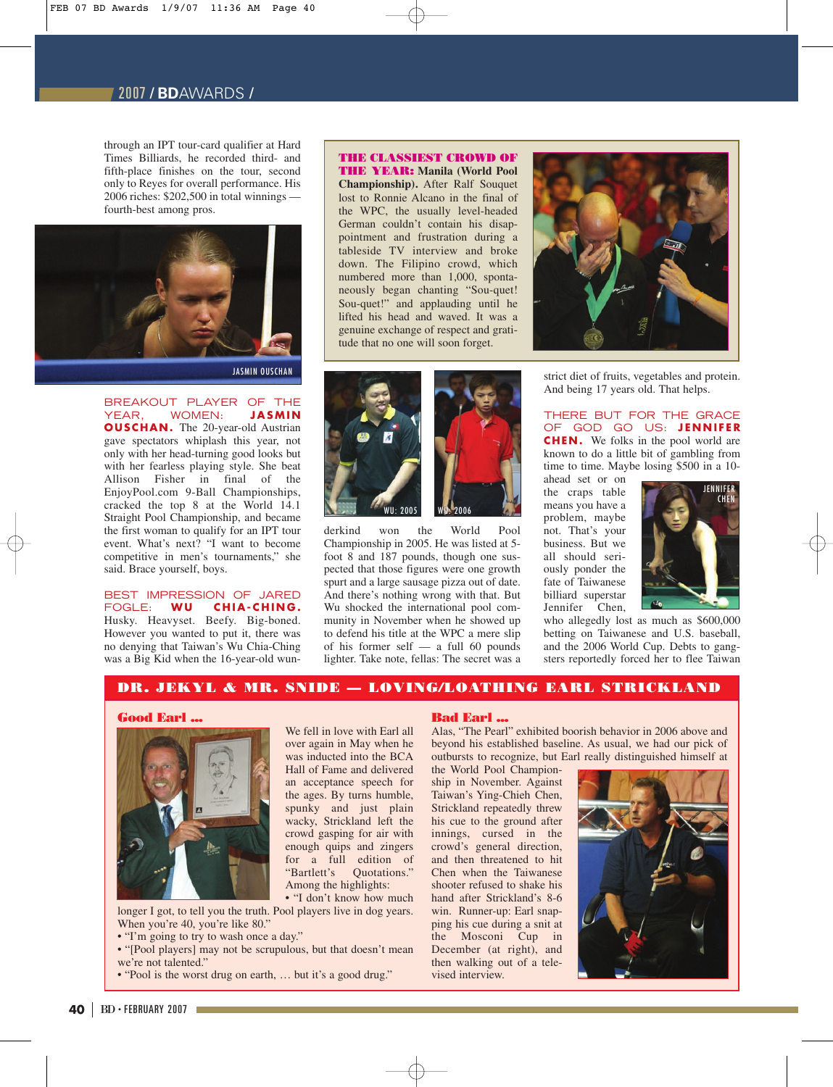# 2007 / **BD**AWARDS /

through an IPT tour-card qualifier at Hard Times Billiards, he recorded third- and fifth-place finishes on the tour, second only to Reyes for overall performance. His 2006 riches: \$202,500 in total winnings fourth-best among pros.



JASMIN OUSCHAN

BREAKOUT PLAYER OF THE YEAR, WOMEN: **JASMIN OUSCHAN.** The 20-year-old Austrian gave spectators whiplash this year, not only with her head-turning good looks but with her fearless playing style. She beat Allison Fisher in final of the EnjoyPool.com 9-Ball Championships, cracked the top 8 at the World 14.1 Straight Pool Championship, and became the first woman to qualify for an IPT tour event. What's next? "I want to become competitive in men's tournaments," she said. Brace yourself, boys.

BEST IMPRESSION OF JARED FOGLE: **WU CHIA-CHING.** Husky. Heavyset. Beefy. Big-boned. However you wanted to put it, there was no denying that Taiwan's Wu Chia-Ching was a Big Kid when the 16-year-old wun-

# **THE CLASSIEST CROWD OF**

**THE YEAR: Manila (World Pool Championship).** After Ralf Souquet lost to Ronnie Alcano in the final of the WPC, the usually level-headed German couldn't contain his disappointment and frustration during a tableside TV interview and broke down. The Filipino crowd, which numbered more than 1,000, spontaneously began chanting "Sou-quet! Sou-quet!" and applauding until he lifted his head and waved. It was a genuine exchange of respect and gratitude that no one will soon forget.



derkind won the World Pool Championship in 2005. He was listed at 5 foot 8 and 187 pounds, though one suspected that those figures were one growth spurt and a large sausage pizza out of date. And there's nothing wrong with that. But Wu shocked the international pool community in November when he showed up to defend his title at the WPC a mere slip of his former self — a full 60 pounds lighter. Take note, fellas: The secret was a



strict diet of fruits, vegetables and protein. And being 17 years old. That helps.

THERE BUT FOR THE GRACE OF GOD GO US: **JENNIFER CHEN.** We folks in the pool world are known to do a little bit of gambling from time to time. Maybe losing \$500 in a 10-

ahead set or on the craps table means you have a problem, maybe not. That's your business. But we all should seriously ponder the fate of Taiwanese billiard superstar Jennifer Chen,



who allegedly lost as much as \$600,000 betting on Taiwanese and U.S. baseball, and the 2006 World Cup. Debts to gangsters reportedly forced her to flee Taiwan

### **DR. JEKYL & MR. SNIDE — LOVING/LOATHING EARL STRICKLAND**

# **Good Earl ...**



over again in May when he was inducted into the BCA Hall of Fame and delivered an acceptance speech for the ages. By turns humble, spunky and just plain wacky, Strickland left the crowd gasping for air with enough quips and zingers for a full edition of "Bartlett's Quotations." Among the highlights:

We fell in love with Earl all

• "I don't know how much longer I got, to tell you the truth. Pool players live in dog years. When you're 40, you're like 80."

• "I'm going to try to wash once a day."

• "[Pool players] may not be scrupulous, but that doesn't mean we're not talented."

• "Pool is the worst drug on earth, … but it's a good drug."

#### **Bad Earl ...**

Alas, "The Pearl" exhibited boorish behavior in 2006 above and beyond his established baseline. As usual, we had our pick of outbursts to recognize, but Earl really distinguished himself at

the World Pool Championship in November. Against Taiwan's Ying-Chieh Chen, Strickland repeatedly threw his cue to the ground after innings, cursed in the crowd's general direction, and then threatened to hit Chen when the Taiwanese shooter refused to shake his hand after Strickland's 8-6 win. Runner-up: Earl snapping his cue during a snit at the Mosconi Cup in December (at right), and then walking out of a televised interview.